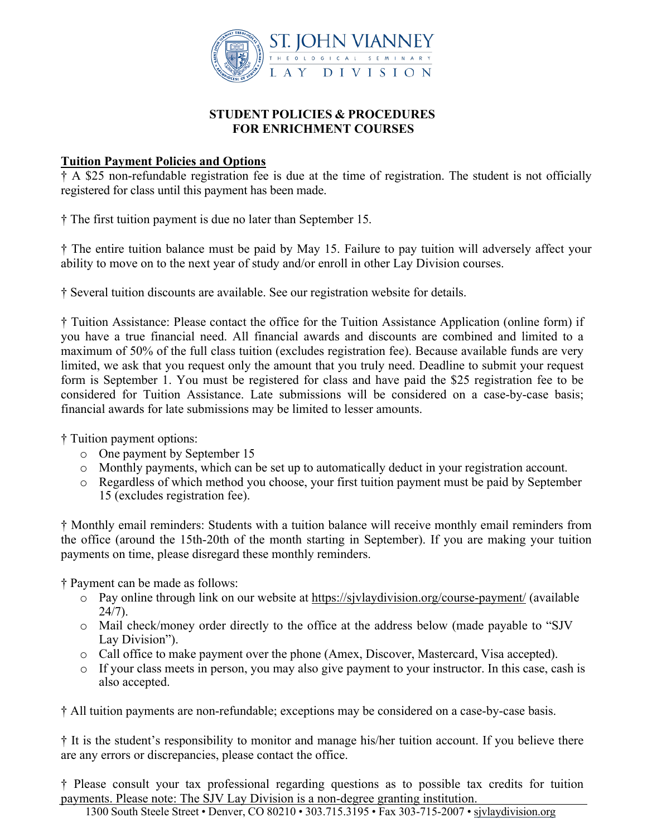

#### **STUDENT POLICIES & PROCEDURES FOR ENRICHMENT COURSES**

#### **Tuition Payment Policies and Options**

† A \$25 non-refundable registration fee is due at the time of registration. The student is not officially registered for class until this payment has been made.

† The first tuition payment is due no later than September 15.

† The entire tuition balance must be paid by May 15. Failure to pay tuition will adversely affect your ability to move on to the next year of study and/or enroll in other Lay Division courses.

† Several tuition discounts are available. See our registration website for details.

† Tuition Assistance: Please contact the office for the Tuition Assistance Application (online form) if you have a true financial need. All financial awards and discounts are combined and limited to a maximum of 50% of the full class tuition (excludes registration fee). Because available funds are very limited, we ask that you request only the amount that you truly need. Deadline to submit your request form is September 1. You must be registered for class and have paid the \$25 registration fee to be considered for Tuition Assistance. Late submissions will be considered on a case-by-case basis; financial awards for late submissions may be limited to lesser amounts.

† Tuition payment options:

- o One payment by September 15
- o Monthly payments, which can be set up to automatically deduct in your registration account.
- o Regardless of which method you choose, your first tuition payment must be paid by September 15 (excludes registration fee).

† Monthly email reminders: Students with a tuition balance will receive monthly email reminders from the office (around the 15th-20th of the month starting in September). If you are making your tuition payments on time, please disregard these monthly reminders.

† Payment can be made as follows:

- o Pay online through link on our website at https://sjvlaydivision.org/course-payment/ (available 24/7).
- o Mail check/money order directly to the office at the address below (made payable to "SJV Lay Division").
- o Call office to make payment over the phone (Amex, Discover, Mastercard, Visa accepted).
- o If your class meets in person, you may also give payment to your instructor. In this case, cash is also accepted.

† All tuition payments are non-refundable; exceptions may be considered on a case-by-case basis.

† It is the student's responsibility to monitor and manage his/her tuition account. If you believe there are any errors or discrepancies, please contact the office.

† Please consult your tax professional regarding questions as to possible tax credits for tuition payments. Please note: The SJV Lay Division is a non-degree granting institution.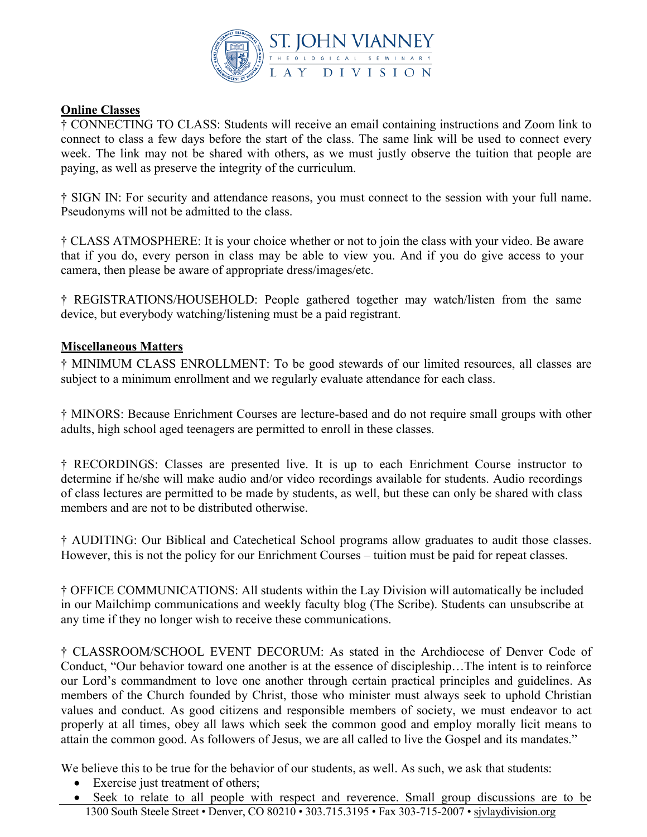

## **Online Classes**

† CONNECTING TO CLASS: Students will receive an email containing instructions and Zoom link to connect to class a few days before the start of the class. The same link will be used to connect every week. The link may not be shared with others, as we must justly observe the tuition that people are paying, as well as preserve the integrity of the curriculum.

† SIGN IN: For security and attendance reasons, you must connect to the session with your full name. Pseudonyms will not be admitted to the class.

† CLASS ATMOSPHERE: It is your choice whether or not to join the class with your video. Be aware that if you do, every person in class may be able to view you. And if you do give access to your camera, then please be aware of appropriate dress/images/etc.

† REGISTRATIONS/HOUSEHOLD: People gathered together may watch/listen from the same device, but everybody watching/listening must be a paid registrant.

# **Miscellaneous Matters**

† MINIMUM CLASS ENROLLMENT: To be good stewards of our limited resources, all classes are subject to a minimum enrollment and we regularly evaluate attendance for each class.

† MINORS: Because Enrichment Courses are lecture-based and do not require small groups with other adults, high school aged teenagers are permitted to enroll in these classes.

† RECORDINGS: Classes are presented live. It is up to each Enrichment Course instructor to determine if he/she will make audio and/or video recordings available for students. Audio recordings of class lectures are permitted to be made by students, as well, but these can only be shared with class members and are not to be distributed otherwise.

† AUDITING: Our Biblical and Catechetical School programs allow graduates to audit those classes. However, this is not the policy for our Enrichment Courses – tuition must be paid for repeat classes.

† OFFICE COMMUNICATIONS: All students within the Lay Division will automatically be included in our Mailchimp communications and weekly faculty blog (The Scribe). Students can unsubscribe at any time if they no longer wish to receive these communications.

† CLASSROOM/SCHOOL EVENT DECORUM: As stated in the Archdiocese of Denver Code of Conduct, "Our behavior toward one another is at the essence of discipleship…The intent is to reinforce our Lord's commandment to love one another through certain practical principles and guidelines. As members of the Church founded by Christ, those who minister must always seek to uphold Christian values and conduct. As good citizens and responsible members of society, we must endeavor to act properly at all times, obey all laws which seek the common good and employ morally licit means to attain the common good. As followers of Jesus, we are all called to live the Gospel and its mandates."

We believe this to be true for the behavior of our students, as well. As such, we ask that students:

- Exercise just treatment of others;
- 1300 South Steele Street Denver, CO 80210 303.715.3195 Fax 303-715-2007 sivlaydivision.org • Seek to relate to all people with respect and reverence. Small group discussions are to be